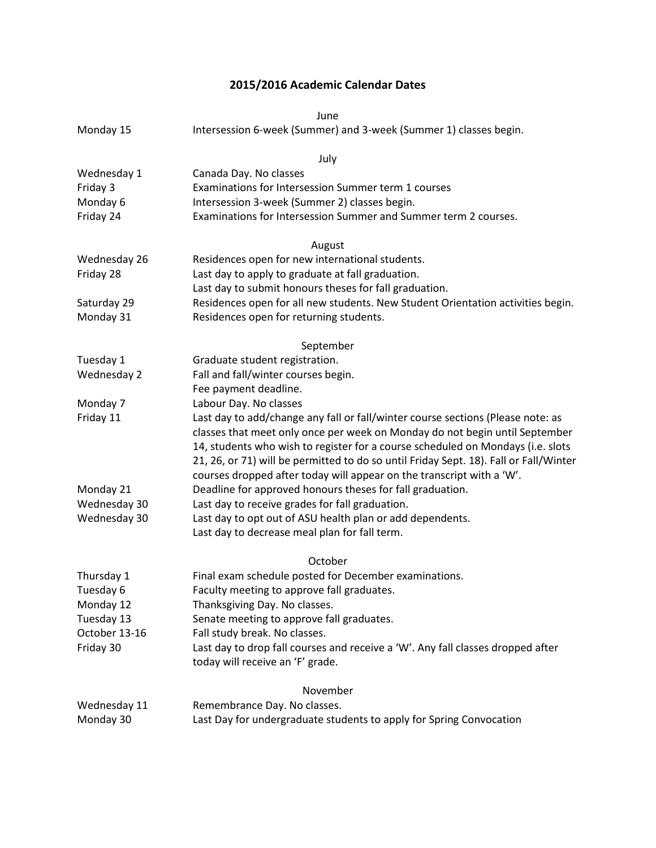## **2015/2016 Academic Calendar Dates**

June

| Monday 15 | Intersession 6-week (Summer) and 3-week (Summer 1) classes begin. |
|-----------|-------------------------------------------------------------------|
|-----------|-------------------------------------------------------------------|

| July          |                                                                                       |  |
|---------------|---------------------------------------------------------------------------------------|--|
| Wednesday 1   | Canada Day. No classes                                                                |  |
| Friday 3      | Examinations for Intersession Summer term 1 courses                                   |  |
| Monday 6      | Intersession 3-week (Summer 2) classes begin.                                         |  |
| Friday 24     | Examinations for Intersession Summer and Summer term 2 courses.                       |  |
| August        |                                                                                       |  |
| Wednesday 26  | Residences open for new international students.                                       |  |
| Friday 28     | Last day to apply to graduate at fall graduation.                                     |  |
|               | Last day to submit honours theses for fall graduation.                                |  |
| Saturday 29   | Residences open for all new students. New Student Orientation activities begin.       |  |
| Monday 31     | Residences open for returning students.                                               |  |
| September     |                                                                                       |  |
| Tuesday 1     | Graduate student registration.                                                        |  |
| Wednesday 2   | Fall and fall/winter courses begin.                                                   |  |
|               | Fee payment deadline.                                                                 |  |
| Monday 7      | Labour Day. No classes                                                                |  |
| Friday 11     | Last day to add/change any fall or fall/winter course sections (Please note: as       |  |
|               | classes that meet only once per week on Monday do not begin until September           |  |
|               | 14, students who wish to register for a course scheduled on Mondays (i.e. slots       |  |
|               | 21, 26, or 71) will be permitted to do so until Friday Sept. 18). Fall or Fall/Winter |  |
|               | courses dropped after today will appear on the transcript with a 'W'.                 |  |
| Monday 21     | Deadline for approved honours theses for fall graduation.                             |  |
| Wednesday 30  | Last day to receive grades for fall graduation.                                       |  |
| Wednesday 30  | Last day to opt out of ASU health plan or add dependents.                             |  |
|               | Last day to decrease meal plan for fall term.                                         |  |
|               | October                                                                               |  |
| Thursday 1    | Final exam schedule posted for December examinations.                                 |  |
| Tuesday 6     | Faculty meeting to approve fall graduates.                                            |  |
| Monday 12     | Thanksgiving Day. No classes.                                                         |  |
| Tuesday 13    | Senate meeting to approve fall graduates.                                             |  |
| October 13-16 | Fall study break. No classes.                                                         |  |
| Friday 30     | Last day to drop fall courses and receive a 'W'. Any fall classes dropped after       |  |
|               | today will receive an 'F' grade.                                                      |  |

|              | November                                                            |
|--------------|---------------------------------------------------------------------|
| Wednesday 11 | Remembrance Day. No classes.                                        |
| Monday 30    | Last Day for undergraduate students to apply for Spring Convocation |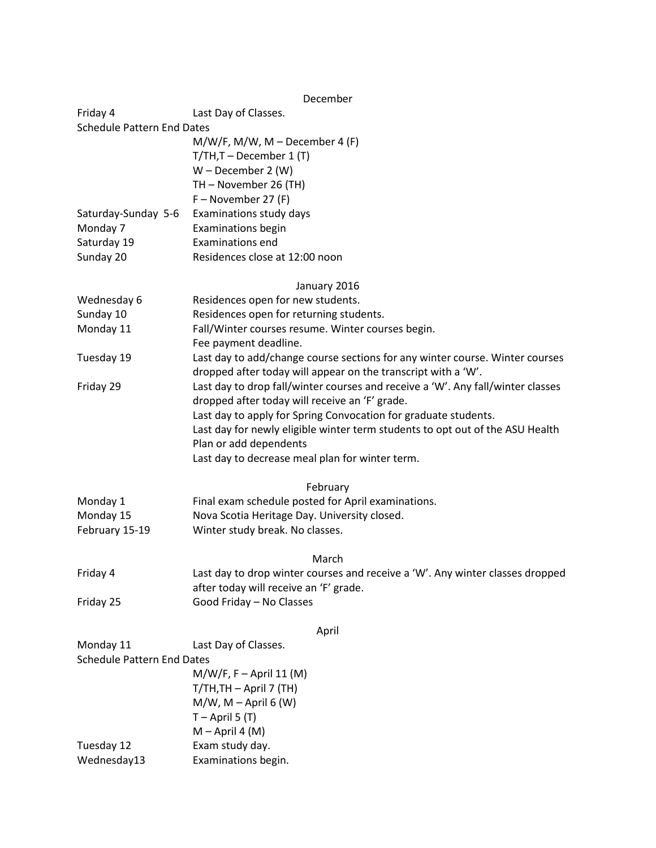## December

| Friday 4                          | Last Day of Classes.                                                            |
|-----------------------------------|---------------------------------------------------------------------------------|
| <b>Schedule Pattern End Dates</b> |                                                                                 |
|                                   | $M/W/F$ , M/W, M – December 4 (F)                                               |
|                                   | $T/TH$ , T – December 1 (T)                                                     |
|                                   | $W$ – December 2 (W)                                                            |
|                                   | TH - November 26 (TH)                                                           |
|                                   | $F - November 27 (F)$                                                           |
| Saturday-Sunday 5-6               | Examinations study days                                                         |
| Monday 7                          | <b>Examinations begin</b>                                                       |
| Saturday 19                       | <b>Examinations end</b>                                                         |
| Sunday 20                         | Residences close at 12:00 noon                                                  |
|                                   | January 2016                                                                    |
| Wednesday 6                       | Residences open for new students.                                               |
| Sunday 10                         | Residences open for returning students.                                         |
| Monday 11                         | Fall/Winter courses resume. Winter courses begin.                               |
|                                   | Fee payment deadline.                                                           |
| Tuesday 19                        | Last day to add/change course sections for any winter course. Winter courses    |
|                                   | dropped after today will appear on the transcript with a 'W'.                   |
| Friday 29                         | Last day to drop fall/winter courses and receive a 'W'. Any fall/winter classes |
|                                   | dropped after today will receive an 'F' grade.                                  |
|                                   | Last day to apply for Spring Convocation for graduate students.                 |
|                                   | Last day for newly eligible winter term students to opt out of the ASU Health   |
|                                   | Plan or add dependents                                                          |
|                                   | Last day to decrease meal plan for winter term.                                 |
|                                   | February                                                                        |
| Monday 1                          | Final exam schedule posted for April examinations.                              |
| Monday 15                         | Nova Scotia Heritage Day. University closed.                                    |
| February 15-19                    | Winter study break. No classes.                                                 |
|                                   | March                                                                           |
| Friday 4                          | Last day to drop winter courses and receive a 'W'. Any winter classes dropped   |
|                                   | after today will receive an 'F' grade.                                          |
| Friday 25                         | Good Friday - No Classes                                                        |
|                                   | April                                                                           |
| Monday 11                         | Last Day of Classes.                                                            |
| <b>Schedule Pattern End Dates</b> |                                                                                 |
|                                   | $M/W/F, F - April 11 (M)$                                                       |
|                                   | T/TH, TH - April 7 (TH)                                                         |
|                                   | $M/W$ , M – April 6 (W)                                                         |
|                                   | $T -$ April 5 (T)                                                               |
|                                   | $M -$ April 4 (M)                                                               |
| Tuesday 12                        | Exam study day.                                                                 |
| Wednesday13                       | Examinations begin.                                                             |